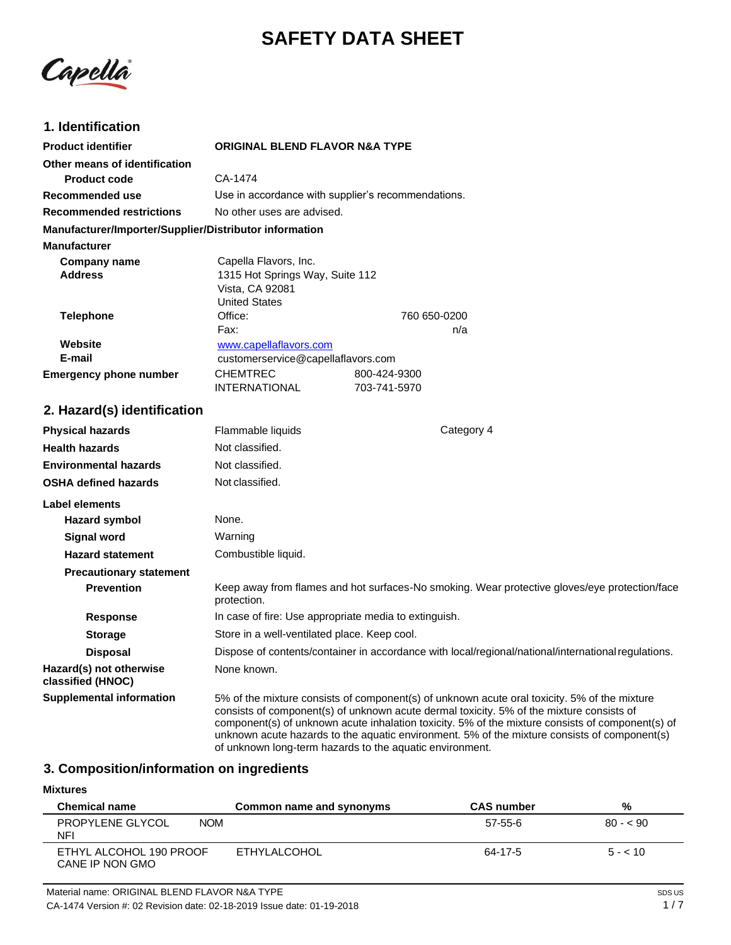# **SAFETY DATA SHEET**

Capella

## **1. Identification**

| <b>Product identifier</b>                              | <b>ORIGINAL BLEND FLAVOR N&amp;A TYPE</b>             |                                                                                                                                                                                                                                                                                                                                                                                                                                                          |  |
|--------------------------------------------------------|-------------------------------------------------------|----------------------------------------------------------------------------------------------------------------------------------------------------------------------------------------------------------------------------------------------------------------------------------------------------------------------------------------------------------------------------------------------------------------------------------------------------------|--|
| Other means of identification                          |                                                       |                                                                                                                                                                                                                                                                                                                                                                                                                                                          |  |
| <b>Product code</b>                                    | CA-1474                                               |                                                                                                                                                                                                                                                                                                                                                                                                                                                          |  |
| <b>Recommended use</b>                                 | Use in accordance with supplier's recommendations.    |                                                                                                                                                                                                                                                                                                                                                                                                                                                          |  |
| <b>Recommended restrictions</b>                        | No other uses are advised.                            |                                                                                                                                                                                                                                                                                                                                                                                                                                                          |  |
| Manufacturer/Importer/Supplier/Distributor information |                                                       |                                                                                                                                                                                                                                                                                                                                                                                                                                                          |  |
| <b>Manufacturer</b>                                    |                                                       |                                                                                                                                                                                                                                                                                                                                                                                                                                                          |  |
| <b>Company name</b>                                    | Capella Flavors, Inc.                                 |                                                                                                                                                                                                                                                                                                                                                                                                                                                          |  |
| <b>Address</b>                                         | 1315 Hot Springs Way, Suite 112                       |                                                                                                                                                                                                                                                                                                                                                                                                                                                          |  |
|                                                        | Vista, CA 92081<br><b>United States</b>               |                                                                                                                                                                                                                                                                                                                                                                                                                                                          |  |
| <b>Telephone</b>                                       | Office:                                               | 760 650-0200                                                                                                                                                                                                                                                                                                                                                                                                                                             |  |
|                                                        | Fax:                                                  | n/a                                                                                                                                                                                                                                                                                                                                                                                                                                                      |  |
| Website                                                | www.capellaflavors.com                                |                                                                                                                                                                                                                                                                                                                                                                                                                                                          |  |
| E-mail                                                 | customerservice@capellaflavors.com                    |                                                                                                                                                                                                                                                                                                                                                                                                                                                          |  |
| <b>Emergency phone number</b>                          | <b>CHEMTREC</b>                                       | 800-424-9300                                                                                                                                                                                                                                                                                                                                                                                                                                             |  |
|                                                        | <b>INTERNATIONAL</b>                                  | 703-741-5970                                                                                                                                                                                                                                                                                                                                                                                                                                             |  |
| 2. Hazard(s) identification                            |                                                       |                                                                                                                                                                                                                                                                                                                                                                                                                                                          |  |
| <b>Physical hazards</b>                                | Flammable liquids                                     | Category 4                                                                                                                                                                                                                                                                                                                                                                                                                                               |  |
| <b>Health hazards</b>                                  | Not classified.                                       |                                                                                                                                                                                                                                                                                                                                                                                                                                                          |  |
| <b>Environmental hazards</b>                           | Not classified.                                       |                                                                                                                                                                                                                                                                                                                                                                                                                                                          |  |
| <b>OSHA defined hazards</b>                            | Not classified.                                       |                                                                                                                                                                                                                                                                                                                                                                                                                                                          |  |
| <b>Label elements</b>                                  |                                                       |                                                                                                                                                                                                                                                                                                                                                                                                                                                          |  |
| <b>Hazard symbol</b>                                   | None.                                                 |                                                                                                                                                                                                                                                                                                                                                                                                                                                          |  |
| <b>Signal word</b>                                     | Warning                                               |                                                                                                                                                                                                                                                                                                                                                                                                                                                          |  |
| <b>Hazard statement</b>                                | Combustible liquid.                                   |                                                                                                                                                                                                                                                                                                                                                                                                                                                          |  |
| <b>Precautionary statement</b>                         |                                                       |                                                                                                                                                                                                                                                                                                                                                                                                                                                          |  |
| <b>Prevention</b>                                      | protection.                                           | Keep away from flames and hot surfaces-No smoking. Wear protective gloves/eye protection/face                                                                                                                                                                                                                                                                                                                                                            |  |
| <b>Response</b>                                        | In case of fire: Use appropriate media to extinguish. |                                                                                                                                                                                                                                                                                                                                                                                                                                                          |  |
| <b>Storage</b>                                         | Store in a well-ventilated place. Keep cool.          |                                                                                                                                                                                                                                                                                                                                                                                                                                                          |  |
| <b>Disposal</b>                                        |                                                       | Dispose of contents/container in accordance with local/regional/national/international regulations.                                                                                                                                                                                                                                                                                                                                                      |  |
| Hazard(s) not otherwise<br>classified (HNOC)           | None known.                                           |                                                                                                                                                                                                                                                                                                                                                                                                                                                          |  |
| <b>Supplemental information</b>                        |                                                       | 5% of the mixture consists of component(s) of unknown acute oral toxicity. 5% of the mixture<br>consists of component(s) of unknown acute dermal toxicity. 5% of the mixture consists of<br>component(s) of unknown acute inhalation toxicity. 5% of the mixture consists of component(s) of<br>unknown acute hazards to the aquatic environment. 5% of the mixture consists of component(s)<br>of unknown long-term hazards to the aquatic environment. |  |

## **3. Composition/information on ingredients**

### **Mixtures**

| <b>Chemical name</b>                       | Common name and synonyms | <b>CAS number</b> | %         |
|--------------------------------------------|--------------------------|-------------------|-----------|
| PROPYLENE GLYCOL<br><b>NOM</b><br>NF'      |                          | 57-55-6           | $80 - 50$ |
| ETHYL ALCOHOL 190 PROOF<br>CANE IP NON GMO | ETHYLALCOHOL             | 64-17-5           | $5 - 10$  |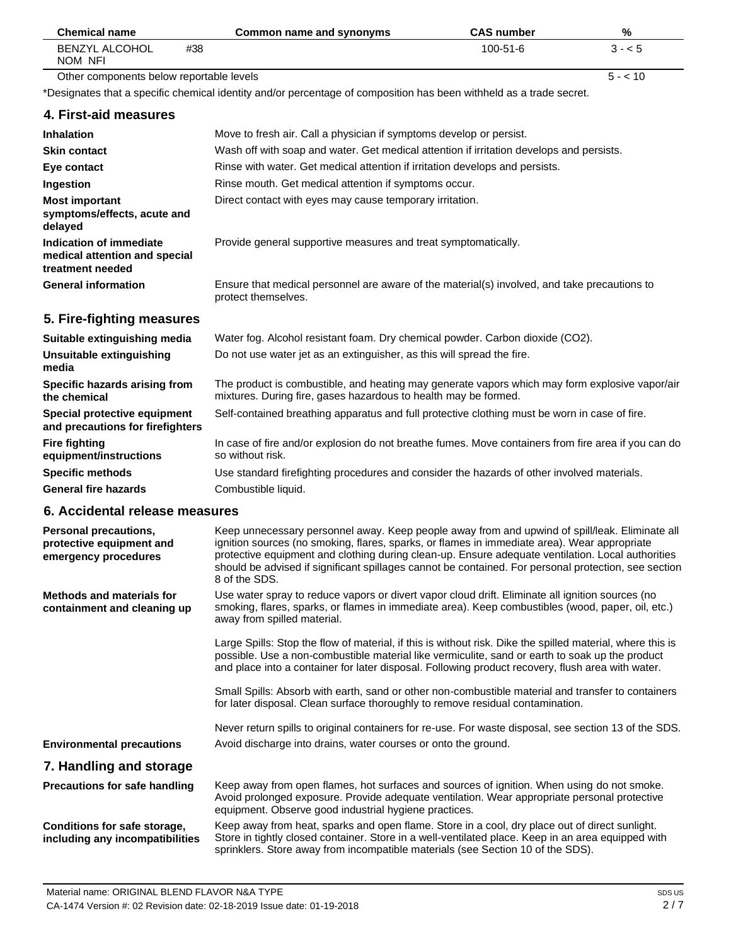| <b>Chemical name</b>                                                         | <b>Common name and synonyms</b>                                                                                                                                                                                                                                                                                                                                                                                              | <b>CAS number</b> | %        |
|------------------------------------------------------------------------------|------------------------------------------------------------------------------------------------------------------------------------------------------------------------------------------------------------------------------------------------------------------------------------------------------------------------------------------------------------------------------------------------------------------------------|-------------------|----------|
| <b>BENZYL ALCOHOL</b><br>#38<br>NOM NFI                                      |                                                                                                                                                                                                                                                                                                                                                                                                                              | 100-51-6          | $3 - 5$  |
| Other components below reportable levels                                     |                                                                                                                                                                                                                                                                                                                                                                                                                              |                   | $5 - 10$ |
|                                                                              | *Designates that a specific chemical identity and/or percentage of composition has been withheld as a trade secret.                                                                                                                                                                                                                                                                                                          |                   |          |
| 4. First-aid measures                                                        |                                                                                                                                                                                                                                                                                                                                                                                                                              |                   |          |
| <b>Inhalation</b>                                                            | Move to fresh air. Call a physician if symptoms develop or persist.                                                                                                                                                                                                                                                                                                                                                          |                   |          |
| <b>Skin contact</b>                                                          | Wash off with soap and water. Get medical attention if irritation develops and persists.                                                                                                                                                                                                                                                                                                                                     |                   |          |
| Eye contact                                                                  | Rinse with water. Get medical attention if irritation develops and persists.                                                                                                                                                                                                                                                                                                                                                 |                   |          |
| Ingestion                                                                    | Rinse mouth. Get medical attention if symptoms occur.                                                                                                                                                                                                                                                                                                                                                                        |                   |          |
| <b>Most important</b><br>symptoms/effects, acute and<br>delayed              | Direct contact with eyes may cause temporary irritation.                                                                                                                                                                                                                                                                                                                                                                     |                   |          |
| Indication of immediate<br>medical attention and special<br>treatment needed | Provide general supportive measures and treat symptomatically.                                                                                                                                                                                                                                                                                                                                                               |                   |          |
| <b>General information</b>                                                   | Ensure that medical personnel are aware of the material(s) involved, and take precautions to<br>protect themselves.                                                                                                                                                                                                                                                                                                          |                   |          |
| 5. Fire-fighting measures                                                    |                                                                                                                                                                                                                                                                                                                                                                                                                              |                   |          |
| Suitable extinguishing media                                                 | Water fog. Alcohol resistant foam. Dry chemical powder. Carbon dioxide (CO2).                                                                                                                                                                                                                                                                                                                                                |                   |          |
| Unsuitable extinguishing<br>media                                            | Do not use water jet as an extinguisher, as this will spread the fire.                                                                                                                                                                                                                                                                                                                                                       |                   |          |
| Specific hazards arising from<br>the chemical                                | The product is combustible, and heating may generate vapors which may form explosive vapor/air<br>mixtures. During fire, gases hazardous to health may be formed.                                                                                                                                                                                                                                                            |                   |          |
| Special protective equipment<br>and precautions for firefighters             | Self-contained breathing apparatus and full protective clothing must be worn in case of fire.                                                                                                                                                                                                                                                                                                                                |                   |          |
| <b>Fire fighting</b><br>equipment/instructions                               | In case of fire and/or explosion do not breathe fumes. Move containers from fire area if you can do<br>so without risk.                                                                                                                                                                                                                                                                                                      |                   |          |
| <b>Specific methods</b>                                                      | Use standard firefighting procedures and consider the hazards of other involved materials.                                                                                                                                                                                                                                                                                                                                   |                   |          |
| <b>General fire hazards</b>                                                  | Combustible liquid.                                                                                                                                                                                                                                                                                                                                                                                                          |                   |          |
| 6. Accidental release measures                                               |                                                                                                                                                                                                                                                                                                                                                                                                                              |                   |          |
| Personal precautions,<br>protective equipment and<br>emergency procedures    | Keep unnecessary personnel away. Keep people away from and upwind of spill/leak. Eliminate all<br>ignition sources (no smoking, flares, sparks, or flames in immediate area). Wear appropriate<br>protective equipment and clothing during clean-up. Ensure adequate ventilation. Local authorities<br>should be advised if significant spillages cannot be contained. For personal protection, see section<br>8 of the SDS. |                   |          |
| <b>Methods and materials for</b><br>containment and cleaning up              | Use water spray to reduce vapors or divert vapor cloud drift. Eliminate all ignition sources (no<br>smoking, flares, sparks, or flames in immediate area). Keep combustibles (wood, paper, oil, etc.)<br>away from spilled material.                                                                                                                                                                                         |                   |          |
|                                                                              | Large Spills: Stop the flow of material, if this is without risk. Dike the spilled material, where this is<br>possible. Use a non-combustible material like vermiculite, sand or earth to soak up the product<br>and place into a container for later disposal. Following product recovery, flush area with water.                                                                                                           |                   |          |
|                                                                              | Small Spills: Absorb with earth, sand or other non-combustible material and transfer to containers<br>for later disposal. Clean surface thoroughly to remove residual contamination.                                                                                                                                                                                                                                         |                   |          |
|                                                                              | Never return spills to original containers for re-use. For waste disposal, see section 13 of the SDS.                                                                                                                                                                                                                                                                                                                        |                   |          |
| <b>Environmental precautions</b>                                             | Avoid discharge into drains, water courses or onto the ground.                                                                                                                                                                                                                                                                                                                                                               |                   |          |
| 7. Handling and storage                                                      |                                                                                                                                                                                                                                                                                                                                                                                                                              |                   |          |
| <b>Precautions for safe handling</b>                                         | Keep away from open flames, hot surfaces and sources of ignition. When using do not smoke.<br>Avoid prolonged exposure. Provide adequate ventilation. Wear appropriate personal protective<br>equipment. Observe good industrial hygiene practices.                                                                                                                                                                          |                   |          |
| Conditions for safe storage,<br>including any incompatibilities              | Keep away from heat, sparks and open flame. Store in a cool, dry place out of direct sunlight.<br>Store in tightly closed container. Store in a well-ventilated place. Keep in an area equipped with<br>sprinklers. Store away from incompatible materials (see Section 10 of the SDS).                                                                                                                                      |                   |          |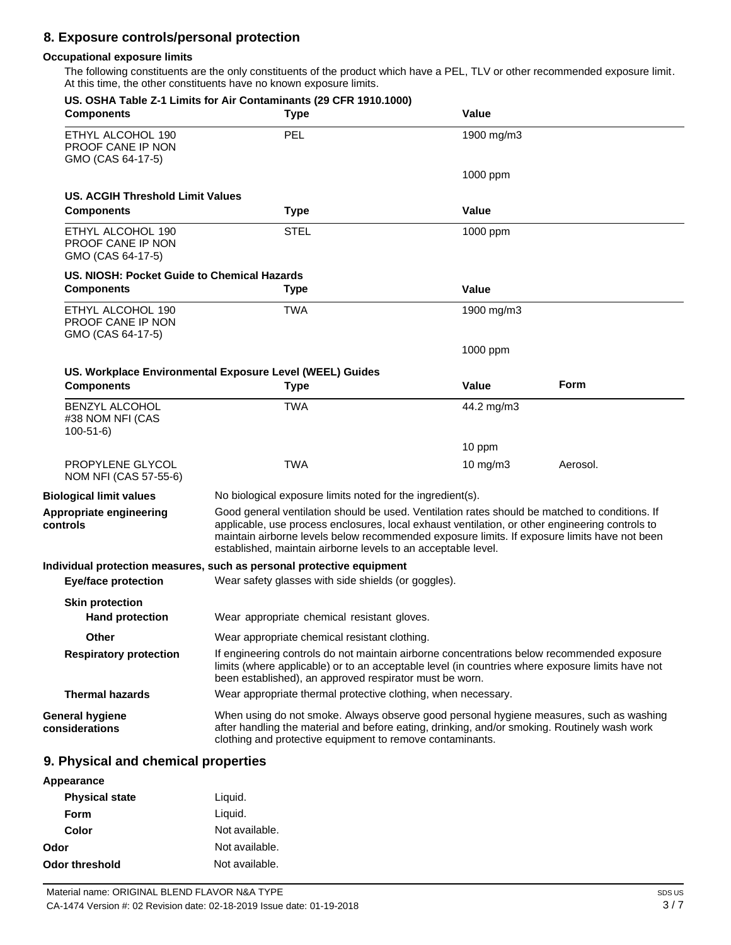# **8. Exposure controls/personal protection**

#### **Occupational exposure limits**

The following constituents are the only constituents of the product which have a PEL, TLV or other recommended exposure limit. At this time, the other constituents have no known exposure limits.

| <b>Components</b>                                           | US. OSHA Table Z-1 Limits for Air Contaminants (29 CFR 1910.1000)<br><b>Type</b>                                                                                                                                                                                                                                                                                   | Value        |          |
|-------------------------------------------------------------|--------------------------------------------------------------------------------------------------------------------------------------------------------------------------------------------------------------------------------------------------------------------------------------------------------------------------------------------------------------------|--------------|----------|
| ETHYL ALCOHOL 190<br>PROOF CANE IP NON<br>GMO (CAS 64-17-5) | <b>PEL</b>                                                                                                                                                                                                                                                                                                                                                         | 1900 mg/m3   |          |
|                                                             |                                                                                                                                                                                                                                                                                                                                                                    | 1000 ppm     |          |
| <b>US. ACGIH Threshold Limit Values</b>                     |                                                                                                                                                                                                                                                                                                                                                                    |              |          |
| <b>Components</b>                                           | <b>Type</b>                                                                                                                                                                                                                                                                                                                                                        | Value        |          |
| ETHYL ALCOHOL 190<br>PROOF CANE IP NON<br>GMO (CAS 64-17-5) | <b>STEL</b>                                                                                                                                                                                                                                                                                                                                                        | 1000 ppm     |          |
| US. NIOSH: Pocket Guide to Chemical Hazards                 |                                                                                                                                                                                                                                                                                                                                                                    |              |          |
| <b>Components</b>                                           | <b>Type</b>                                                                                                                                                                                                                                                                                                                                                        | <b>Value</b> |          |
| ETHYL ALCOHOL 190<br>PROOF CANE IP NON<br>GMO (CAS 64-17-5) | TWA                                                                                                                                                                                                                                                                                                                                                                | 1900 mg/m3   |          |
|                                                             |                                                                                                                                                                                                                                                                                                                                                                    | 1000 ppm     |          |
|                                                             | US. Workplace Environmental Exposure Level (WEEL) Guides                                                                                                                                                                                                                                                                                                           |              |          |
| <b>Components</b>                                           | <b>Type</b>                                                                                                                                                                                                                                                                                                                                                        | <b>Value</b> | Form     |
| <b>BENZYL ALCOHOL</b><br>#38 NOM NFI (CAS<br>$100 - 51 - 6$ | <b>TWA</b>                                                                                                                                                                                                                                                                                                                                                         | 44.2 mg/m3   |          |
|                                                             |                                                                                                                                                                                                                                                                                                                                                                    | 10 ppm       |          |
| PROPYLENE GLYCOL<br>NOM NFI (CAS 57-55-6)                   | <b>TWA</b>                                                                                                                                                                                                                                                                                                                                                         | 10 mg/m $3$  | Aerosol. |
| <b>Biological limit values</b>                              | No biological exposure limits noted for the ingredient(s).                                                                                                                                                                                                                                                                                                         |              |          |
| Appropriate engineering<br>controls                         | Good general ventilation should be used. Ventilation rates should be matched to conditions. If<br>applicable, use process enclosures, local exhaust ventilation, or other engineering controls to<br>maintain airborne levels below recommended exposure limits. If exposure limits have not been<br>established, maintain airborne levels to an acceptable level. |              |          |
|                                                             | Individual protection measures, such as personal protective equipment                                                                                                                                                                                                                                                                                              |              |          |
| <b>Eye/face protection</b>                                  | Wear safety glasses with side shields (or goggles).                                                                                                                                                                                                                                                                                                                |              |          |
| <b>Skin protection</b>                                      |                                                                                                                                                                                                                                                                                                                                                                    |              |          |
| <b>Hand protection</b>                                      | Wear appropriate chemical resistant gloves.                                                                                                                                                                                                                                                                                                                        |              |          |
| Other                                                       | Wear appropriate chemical resistant clothing.                                                                                                                                                                                                                                                                                                                      |              |          |
| <b>Respiratory protection</b>                               | If engineering controls do not maintain airborne concentrations below recommended exposure<br>limits (where applicable) or to an acceptable level (in countries where exposure limits have not<br>been established), an approved respirator must be worn.                                                                                                          |              |          |
| <b>Thermal hazards</b>                                      | Wear appropriate thermal protective clothing, when necessary.                                                                                                                                                                                                                                                                                                      |              |          |
| <b>General hygiene</b><br>considerations                    | When using do not smoke. Always observe good personal hygiene measures, such as washing<br>after handling the material and before eating, drinking, and/or smoking. Routinely wash work<br>clothing and protective equipment to remove contaminants.                                                                                                               |              |          |
| 9. Physical and chemical properties                         |                                                                                                                                                                                                                                                                                                                                                                    |              |          |
| Appearance                                                  |                                                                                                                                                                                                                                                                                                                                                                    |              |          |
| <b>Physical state</b>                                       | Liquid.                                                                                                                                                                                                                                                                                                                                                            |              |          |

| Material name: ORIGINAL BLEND FLAVOR N&A TYPE                          |
|------------------------------------------------------------------------|
| CA-1474 Version #: 02 Revision date: 02-18-2019 Issue date: 01-19-2018 |

**Odor threshold** Not available.

Liquid. Not available. Not available.

**Form Color** 

**Odor**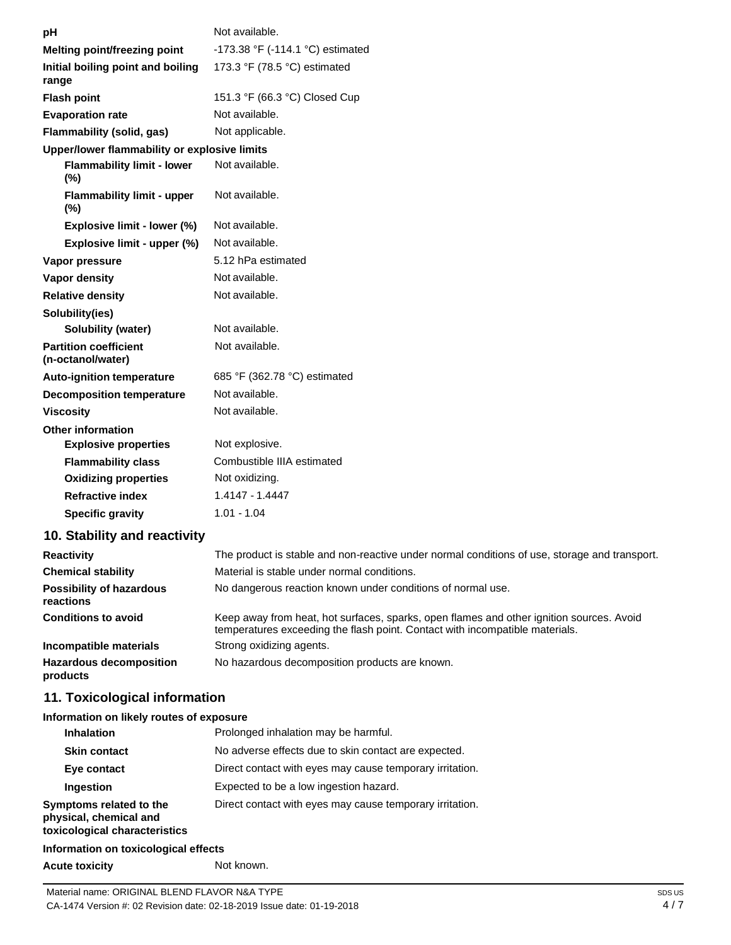| рH                                                | Not available.                                                                                                                                                           |
|---------------------------------------------------|--------------------------------------------------------------------------------------------------------------------------------------------------------------------------|
| Melting point/freezing point                      | -173.38 °F (-114.1 °C) estimated                                                                                                                                         |
| Initial boiling point and boiling<br>range        | 173.3 °F (78.5 °C) estimated                                                                                                                                             |
| <b>Flash point</b>                                | 151.3 °F (66.3 °C) Closed Cup                                                                                                                                            |
| <b>Evaporation rate</b>                           | Not available.                                                                                                                                                           |
| Flammability (solid, gas)                         | Not applicable.                                                                                                                                                          |
| Upper/lower flammability or explosive limits      |                                                                                                                                                                          |
| <b>Flammability limit - lower</b><br>$(\%)$       | Not available.                                                                                                                                                           |
| <b>Flammability limit - upper</b><br>(%)          | Not available.                                                                                                                                                           |
| Explosive limit - lower (%)                       | Not available.                                                                                                                                                           |
| Explosive limit - upper (%)                       | Not available.                                                                                                                                                           |
| Vapor pressure                                    | 5.12 hPa estimated                                                                                                                                                       |
| Vapor density                                     | Not available.                                                                                                                                                           |
| <b>Relative density</b>                           | Not available.                                                                                                                                                           |
| Solubility(ies)                                   |                                                                                                                                                                          |
| Solubility (water)                                | Not available.                                                                                                                                                           |
| <b>Partition coefficient</b><br>(n-octanol/water) | Not available.                                                                                                                                                           |
| Auto-ignition temperature                         | 685 °F (362.78 °C) estimated                                                                                                                                             |
| <b>Decomposition temperature</b>                  | Not available.                                                                                                                                                           |
| <b>Viscosity</b>                                  | Not available.                                                                                                                                                           |
| <b>Other information</b>                          |                                                                                                                                                                          |
| <b>Explosive properties</b>                       | Not explosive.                                                                                                                                                           |
| <b>Flammability class</b>                         | Combustible IIIA estimated                                                                                                                                               |
| <b>Oxidizing properties</b>                       | Not oxidizing.                                                                                                                                                           |
| <b>Refractive index</b>                           | 1.4147 - 1.4447                                                                                                                                                          |
| <b>Specific gravity</b>                           | $1.01 - 1.04$                                                                                                                                                            |
| 10. Stability and reactivity                      |                                                                                                                                                                          |
| <b>Reactivity</b>                                 | The product is stable and non-reactive under normal conditions of use, storage and transport.                                                                            |
| <b>Chemical stability</b>                         | Material is stable under normal conditions.                                                                                                                              |
| <b>Possibility of hazardous</b><br>reactions      | No dangerous reaction known under conditions of normal use.                                                                                                              |
| <b>Conditions to avoid</b>                        | Keep away from heat, hot surfaces, sparks, open flames and other ignition sources. Avoid<br>temperatures exceeding the flash point. Contact with incompatible materials. |
| Incompatible materials                            | Strong oxidizing agents.                                                                                                                                                 |
| <b>Hazardous decomposition</b><br>products        | No hazardous decomposition products are known.                                                                                                                           |

# **11. Toxicological information**

#### **Information on likely routes of exposure**

| <b>Inhalation</b>                                                                  | Prolonged inhalation may be harmful.                     |
|------------------------------------------------------------------------------------|----------------------------------------------------------|
| <b>Skin contact</b>                                                                | No adverse effects due to skin contact are expected.     |
| Eye contact                                                                        | Direct contact with eyes may cause temporary irritation. |
| Ingestion                                                                          | Expected to be a low ingestion hazard.                   |
| Symptoms related to the<br>physical, chemical and<br>toxicological characteristics | Direct contact with eyes may cause temporary irritation. |

## **Information on toxicological effects**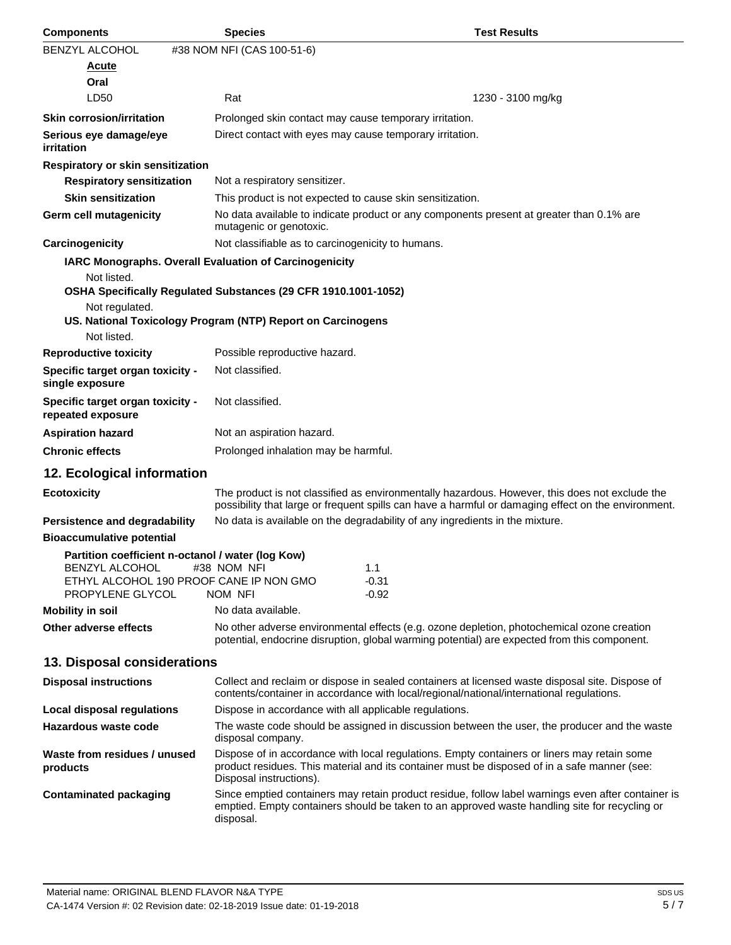| <b>Components</b>                                     | <b>Species</b>                                                                                                         | <b>Test Results</b>                                                                                                                                                                                   |
|-------------------------------------------------------|------------------------------------------------------------------------------------------------------------------------|-------------------------------------------------------------------------------------------------------------------------------------------------------------------------------------------------------|
| BENZYL ALCOHOL                                        | #38 NOM NFI (CAS 100-51-6)                                                                                             |                                                                                                                                                                                                       |
| <u>Acute</u>                                          |                                                                                                                        |                                                                                                                                                                                                       |
| Oral                                                  |                                                                                                                        |                                                                                                                                                                                                       |
| LD50                                                  | Rat                                                                                                                    | 1230 - 3100 mg/kg                                                                                                                                                                                     |
| <b>Skin corrosion/irritation</b>                      |                                                                                                                        | Prolonged skin contact may cause temporary irritation.                                                                                                                                                |
| Serious eye damage/eye<br><i>irritation</i>           |                                                                                                                        | Direct contact with eyes may cause temporary irritation.                                                                                                                                              |
| Respiratory or skin sensitization                     |                                                                                                                        |                                                                                                                                                                                                       |
| <b>Respiratory sensitization</b>                      | Not a respiratory sensitizer.                                                                                          |                                                                                                                                                                                                       |
| <b>Skin sensitization</b>                             |                                                                                                                        | This product is not expected to cause skin sensitization.                                                                                                                                             |
| Germ cell mutagenicity                                | mutagenic or genotoxic.                                                                                                | No data available to indicate product or any components present at greater than 0.1% are                                                                                                              |
| Carcinogenicity                                       | Not classifiable as to carcinogenicity to humans.                                                                      |                                                                                                                                                                                                       |
|                                                       | IARC Monographs. Overall Evaluation of Carcinogenicity                                                                 |                                                                                                                                                                                                       |
| Not listed.                                           | OSHA Specifically Regulated Substances (29 CFR 1910.1001-1052)                                                         |                                                                                                                                                                                                       |
| Not regulated.                                        | US. National Toxicology Program (NTP) Report on Carcinogens                                                            |                                                                                                                                                                                                       |
| Not listed.                                           |                                                                                                                        |                                                                                                                                                                                                       |
| <b>Reproductive toxicity</b>                          | Possible reproductive hazard.                                                                                          |                                                                                                                                                                                                       |
| Specific target organ toxicity -<br>single exposure   | Not classified.                                                                                                        |                                                                                                                                                                                                       |
| Specific target organ toxicity -<br>repeated exposure | Not classified.                                                                                                        |                                                                                                                                                                                                       |
| <b>Aspiration hazard</b>                              | Not an aspiration hazard.                                                                                              |                                                                                                                                                                                                       |
| <b>Chronic effects</b>                                | Prolonged inhalation may be harmful.                                                                                   |                                                                                                                                                                                                       |
| 12. Ecological information                            |                                                                                                                        |                                                                                                                                                                                                       |
| <b>Ecotoxicity</b>                                    |                                                                                                                        | The product is not classified as environmentally hazardous. However, this does not exclude the<br>possibility that large or frequent spills can have a harmful or damaging effect on the environment. |
| <b>Persistence and degradability</b>                  |                                                                                                                        | No data is available on the degradability of any ingredients in the mixture.                                                                                                                          |
| <b>Bioaccumulative potential</b>                      |                                                                                                                        |                                                                                                                                                                                                       |
| <b>BENZYL ALCOHOL</b><br>PROPYLENE GLYCOL             | Partition coefficient n-octanol / water (log Kow)<br>#38 NOM NFI<br>ETHYL ALCOHOL 190 PROOF CANE IP NON GMO<br>NOM NFI | 1.1<br>$-0.31$<br>$-0.92$                                                                                                                                                                             |
| <b>Mobility in soil</b>                               | No data available.                                                                                                     |                                                                                                                                                                                                       |
| Other adverse effects                                 |                                                                                                                        | No other adverse environmental effects (e.g. ozone depletion, photochemical ozone creation<br>potential, endocrine disruption, global warming potential) are expected from this component.            |
| 13. Disposal considerations                           |                                                                                                                        |                                                                                                                                                                                                       |
| <b>Disposal instructions</b>                          |                                                                                                                        | Collect and reclaim or dispose in sealed containers at licensed waste disposal site. Dispose of<br>contents/container in accordance with local/regional/national/international regulations.           |
| Local disposal regulations                            |                                                                                                                        | Dispose in accordance with all applicable regulations.                                                                                                                                                |
| Hazardous waste code                                  | disposal company.                                                                                                      | The waste code should be assigned in discussion between the user, the producer and the waste                                                                                                          |
| Waste from residues / unused<br>products              | Disposal instructions).                                                                                                | Dispose of in accordance with local regulations. Empty containers or liners may retain some<br>product residues. This material and its container must be disposed of in a safe manner (see:           |
| <b>Contaminated packaging</b>                         | disposal.                                                                                                              | Since emptied containers may retain product residue, follow label warnings even after container is<br>emptied. Empty containers should be taken to an approved waste handling site for recycling or   |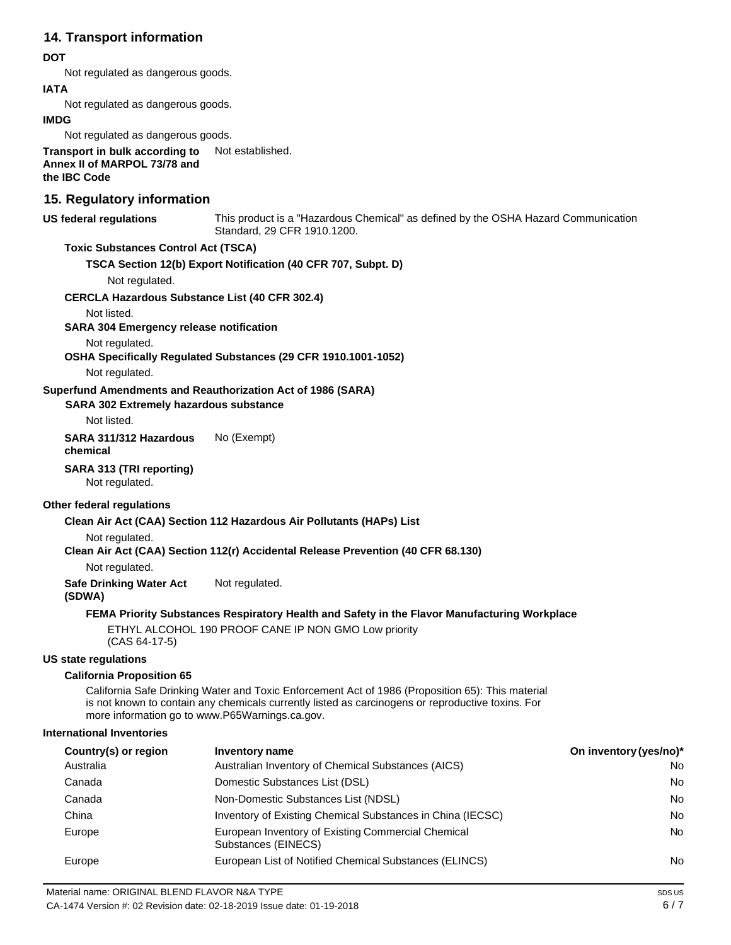## **14. Transport information**

#### **DOT**

Not regulated as dangerous goods.

#### **IATA**

Not regulated as dangerous goods.

#### **IMDG**

Not regulated as dangerous goods.

**Transport in bulk according to Annex II of MARPOL 73/78 and the IBC Code** Not established.

## **15. Regulatory information**

**US federal regulations** This product is a "Hazardous Chemical" as defined by the OSHA Hazard Communication Standard, 29 CFR 1910.1200.

#### **Toxic Substances Control Act (TSCA)**

**TSCA Section 12(b) Export Notification (40 CFR 707, Subpt. D)**

Not regulated.

#### **CERCLA Hazardous Substance List (40 CFR 302.4)**

Not listed.

**SARA 304 Emergency release notification**

Not regulated.

**OSHA Specifically Regulated Substances (29 CFR 1910.1001-1052)**

Not regulated.

#### **Superfund Amendments and Reauthorization Act of 1986 (SARA)**

**SARA 302 Extremely hazardous substance**

Not listed.

**SARA 311/312 Hazardous chemical** No (Exempt)

#### **SARA 313 (TRI reporting)**

Not regulated.

#### **Other federal regulations**

**Clean Air Act (CAA) Section 112 Hazardous Air Pollutants (HAPs) List**

Not regulated.

**Clean Air Act (CAA) Section 112(r) Accidental Release Prevention (40 CFR 68.130)**

#### Not regulated.

**Safe Drinking Water Act**  Not regulated.

#### **(SDWA)**

### **FEMA Priority Substances Respiratory Health and Safety in the Flavor Manufacturing Workplace**

ETHYL ALCOHOL 190 PROOF CANE IP NON GMO Low priority (CAS 64-17-5)

#### **US state regulations**

#### **California Proposition 65**

California Safe Drinking Water and Toxic Enforcement Act of 1986 (Proposition 65): This material is not known to contain any chemicals currently listed as carcinogens or reproductive toxins. For more information go t[o www.P65Warnings.ca.gov.](http://www.p65warnings.ca.gov/)

#### **International Inventories**

| Country(s) or region | Inventory name                                                            | On inventory (yes/no)* |
|----------------------|---------------------------------------------------------------------------|------------------------|
| Australia            | Australian Inventory of Chemical Substances (AICS)                        | No                     |
| Canada               | Domestic Substances List (DSL)                                            | No                     |
| Canada               | Non-Domestic Substances List (NDSL)                                       | No                     |
| China                | Inventory of Existing Chemical Substances in China (IECSC)                | <b>No</b>              |
| Europe               | European Inventory of Existing Commercial Chemical<br>Substances (EINECS) | <b>No</b>              |
| Europe               | European List of Notified Chemical Substances (ELINCS)                    | No                     |